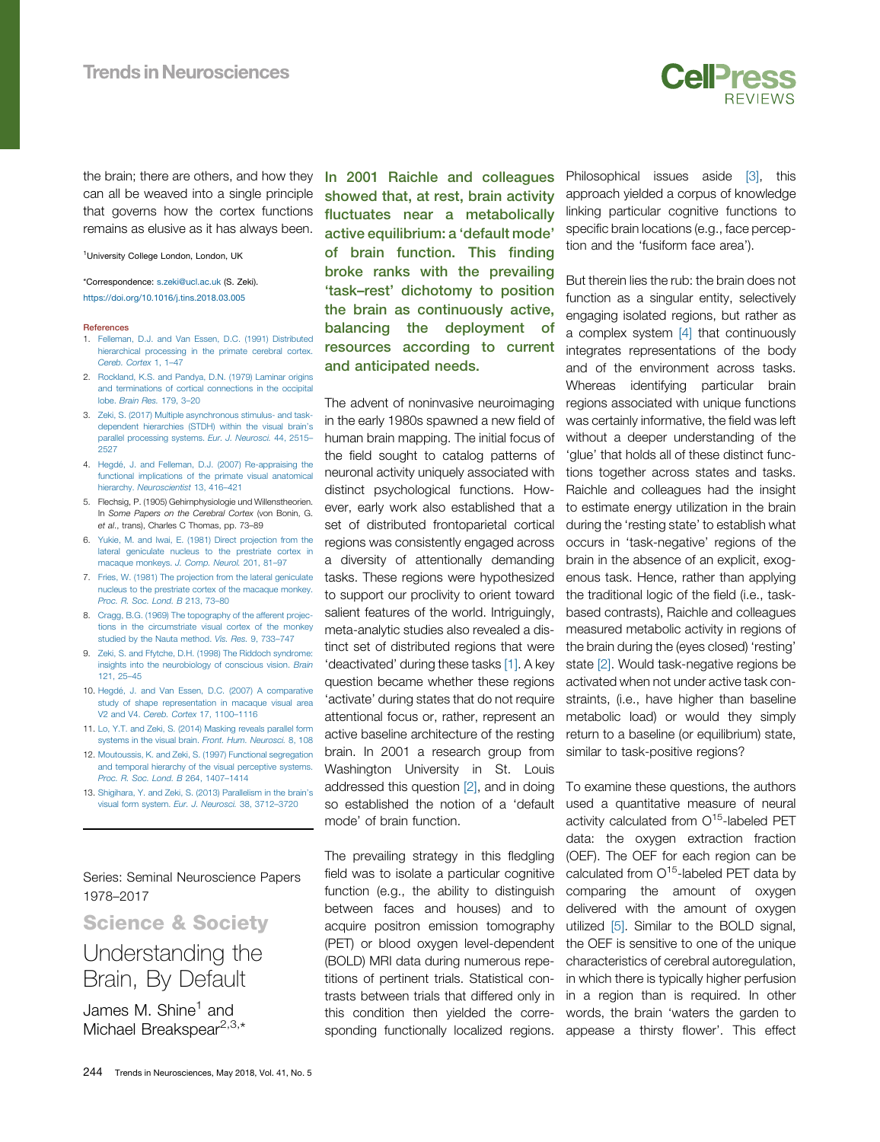

the brain; there are others, and how they can all be weaved into a single principle that governs how the cortex functions remains as elusive as it has always been.

<sup>1</sup>University College London, London, UK

\*Correspondence: [s.zeki@ucl.ac.uk](mailto:s.zeki@ucl.ac.uk) (S. Zeki). <https://doi.org/10.1016/j.tins.2018.03.005>

### References

- 1. [Felleman, D.J. and Van Essen, D.C. \(1991\) Distributed](http://refhub.elsevier.com/S0166-2236(18)30066-3/sbref0005) [hierarchical processing in the primate cerebral cortex.](http://refhub.elsevier.com/S0166-2236(18)30066-3/sbref0005) [Cereb. Cortex](http://refhub.elsevier.com/S0166-2236(18)30066-3/sbref0005) 1, 1–47
- 2. [Rockland, K.S. and Pandya, D.N. \(1979\) Laminar origins](http://refhub.elsevier.com/S0166-2236(18)30066-3/sbref0010) [and terminations of cortical connections in the occipital](http://refhub.elsevier.com/S0166-2236(18)30066-3/sbref0010) lobe. [Brain Res.](http://refhub.elsevier.com/S0166-2236(18)30066-3/sbref0010) 179, 3–20
- 3. [Zeki, S. \(2017\) Multiple asynchronous stimulus- and task](http://refhub.elsevier.com/S0166-2236(18)30066-3/sbref0015)[dependent hierarchies \(STDH\) within the visual brain](http://refhub.elsevier.com/S0166-2236(18)30066-3/sbref0015)'s [parallel processing systems.](http://refhub.elsevier.com/S0166-2236(18)30066-3/sbref0015) Eur. J. Neurosci. 44, 2515– [2527](http://refhub.elsevier.com/S0166-2236(18)30066-3/sbref0015)
- 4. [Hegdé, J. and Felleman, D.J. \(2007\) Re-appraising the](http://refhub.elsevier.com/S0166-2236(18)30066-3/sbref0020) [functional implications of the primate visual anatomical](http://refhub.elsevier.com/S0166-2236(18)30066-3/sbref0020) hierarchy. [Neuroscientist](http://refhub.elsevier.com/S0166-2236(18)30066-3/sbref0020) 13, 416–421
- 5. Flechsig, P. (1905) Gehirnphysiologie und Willenstheorien. In Some Papers on the Cerebral Cortex (von Bonin, G. et al., trans), Charles C Thomas, pp. 73–89
- 6. [Yukie, M. and Iwai, E. \(1981\) Direct projection from the](http://refhub.elsevier.com/S0166-2236(18)30066-3/sbref0030) [lateral geniculate nucleus to the prestriate cortex in](http://refhub.elsevier.com/S0166-2236(18)30066-3/sbref0030) [macaque monkeys.](http://refhub.elsevier.com/S0166-2236(18)30066-3/sbref0030) J. Comp. Neurol. 201, 81–97
- 7. [Fries, W. \(1981\) The projection from the lateral geniculate](http://refhub.elsevier.com/S0166-2236(18)30066-3/sbref0035) [nucleus to the prestriate cortex of the macaque monkey.](http://refhub.elsevier.com/S0166-2236(18)30066-3/sbref0035) [Proc. R. Soc. Lond. B](http://refhub.elsevier.com/S0166-2236(18)30066-3/sbref0035) 213, 73–80
- 8. [Cragg, B.G. \(1969\) The topography of the afferent projec](http://refhub.elsevier.com/S0166-2236(18)30066-3/sbref0040)[tions in the circumstriate visual cortex of the monkey](http://refhub.elsevier.com/S0166-2236(18)30066-3/sbref0040) [studied by the Nauta method.](http://refhub.elsevier.com/S0166-2236(18)30066-3/sbref0040) Vis. Res. 9, 733–747
- 9. [Zeki, S. and Ffytche, D.H. \(1998\) The Riddoch syndrome:](http://refhub.elsevier.com/S0166-2236(18)30066-3/sbref0045) [insights into the neurobiology of conscious vision.](http://refhub.elsevier.com/S0166-2236(18)30066-3/sbref0045) Brain [121, 25](http://refhub.elsevier.com/S0166-2236(18)30066-3/sbref0045)–45
- 10. [Hegdé, J. and Van Essen, D.C. \(2007\) A comparative](http://refhub.elsevier.com/S0166-2236(18)30066-3/sbref0050) [study of shape representation in macaque visual area](http://refhub.elsevier.com/S0166-2236(18)30066-3/sbref0050) V2 and V4. [Cereb. Cortex](http://refhub.elsevier.com/S0166-2236(18)30066-3/sbref0050) 17, 1100–1116
- 11. [Lo, Y.T. and Zeki, S. \(2014\) Masking reveals parallel form](http://refhub.elsevier.com/S0166-2236(18)30066-3/sbref0055) [systems in the visual brain.](http://refhub.elsevier.com/S0166-2236(18)30066-3/sbref0055) Front. Hum. Neurosci. 8, 108
- 12. [Moutoussis, K. and Zeki, S. \(1997\) Functional segregation](http://refhub.elsevier.com/S0166-2236(18)30066-3/sbref0060) [and temporal hierarchy of the visual perceptive systems.](http://refhub.elsevier.com/S0166-2236(18)30066-3/sbref0060) [Proc. R. Soc. Lond. B](http://refhub.elsevier.com/S0166-2236(18)30066-3/sbref0060) 264, 1407–1414
- 13. [Shigihara, Y. and Zeki, S. \(2013\) Parallelism in the brain](http://refhub.elsevier.com/S0166-2236(18)30066-3/sbref0065)'s [visual form system.](http://refhub.elsevier.com/S0166-2236(18)30066-3/sbref0065) Eur. J. Neurosci. 38, 3712–3720

Series: Seminal Neuroscience Papers 1978–2017

# $\frac{1}{s}$   $\frac{1}{s}$  of  $\frac{1}{s}$  or  $\frac{1}{s}$  or  $\frac{1}{s}$  or  $\frac{1}{s}$  or  $\frac{1}{s}$ Understanding the Brain, By Default

James M. Shine<sup>1</sup> and Michael Breakspear<sup>2,3,[\\*](#page-2-0)</sup> In 2001 Raichle and colleagues showed that, at rest, brain activity fluctuates near a metabolically active equilibrium: a 'default mode' of brain function. This finding broke ranks with the prevailing 'task–rest' dichotomy to position the brain as continuously active, balancing the deployment of resources according to current and anticipated needs.

The advent of noninvasive neuroimaging in the early 1980s spawned a new field of human brain mapping. The initial focus of the field sought to catalog patterns of neuronal activity uniquely associated with distinct psychological functions. However, early work also established that a set of distributed frontoparietal cortical regions was consistently engaged across a diversity of attentionally demanding tasks. These regions were hypothesized to support our proclivity to orient toward salient features of the world. Intriguingly, meta-analytic studies also revealed a distinct set of distributed regions that were 'deactivated' during these tasks [\[1\]](#page-3-0). A key question became whether these regions 'activate' during states that do not require attentional focus or, rather, represent an active baseline architecture of the resting brain. In 2001 a research group from Washington University in St. Louis addressed this question [\[2\]](#page-3-0), and in doing so established the notion of a 'default mode' of brain function.

The prevailing strategy in this fledgling field was to isolate a particular cognitive function (e.g., the ability to distinguish between faces and houses) and to acquire positron emission tomography (PET) or blood oxygen level-dependent (BOLD) MRI data during numerous repetitions of pertinent trials. Statistical contrasts between trials that differed only in this condition then yielded the corresponding functionally localized regions. Philosophical issues aside [\[3\],](#page-3-0) this approach yielded a corpus of knowledge linking particular cognitive functions to specific brain locations (e.g., face perception and the 'fusiform face area').

But therein lies the rub: the brain does not function as a singular entity, selectively engaging isolated regions, but rather as a complex system [\[4\]](#page-3-0) that continuously integrates representations of the body and of the environment across tasks. Whereas identifying particular brain regions associated with unique functions was certainly informative, the field was left without a deeper understanding of the 'glue' that holds all of these distinct functions together across states and tasks. Raichle and colleagues had the insight to estimate energy utilization in the brain during the 'resting state' to establish what occurs in 'task-negative' regions of the brain in the absence of an explicit, exogenous task. Hence, rather than applying the traditional logic of the field (i.e., taskbased contrasts), Raichle and colleagues measured metabolic activity in regions of the brain during the (eyes closed) 'resting' state [\[2\].](#page-3-0) Would task-negative regions be activated when not under active task constraints, (i.e., have higher than baseline metabolic load) or would they simply return to a baseline (or equilibrium) state, similar to task-positive regions?

To examine these questions, the authors used a quantitative measure of neural activity calculated from O<sup>15</sup>-labeled PET data: the oxygen extraction fraction (OEF). The OEF for each region can be calculated from  $O<sup>15</sup>$ -labeled PET data by comparing the amount of oxygen delivered with the amount of oxygen utilized [\[5\]](#page-3-0). Similar to the BOLD signal, the OEF is sensitive to one of the unique characteristics of cerebral autoregulation, in which there is typically higher perfusion in a region than is required. In other words, the brain 'waters the garden to appease a thirsty flower'. This effect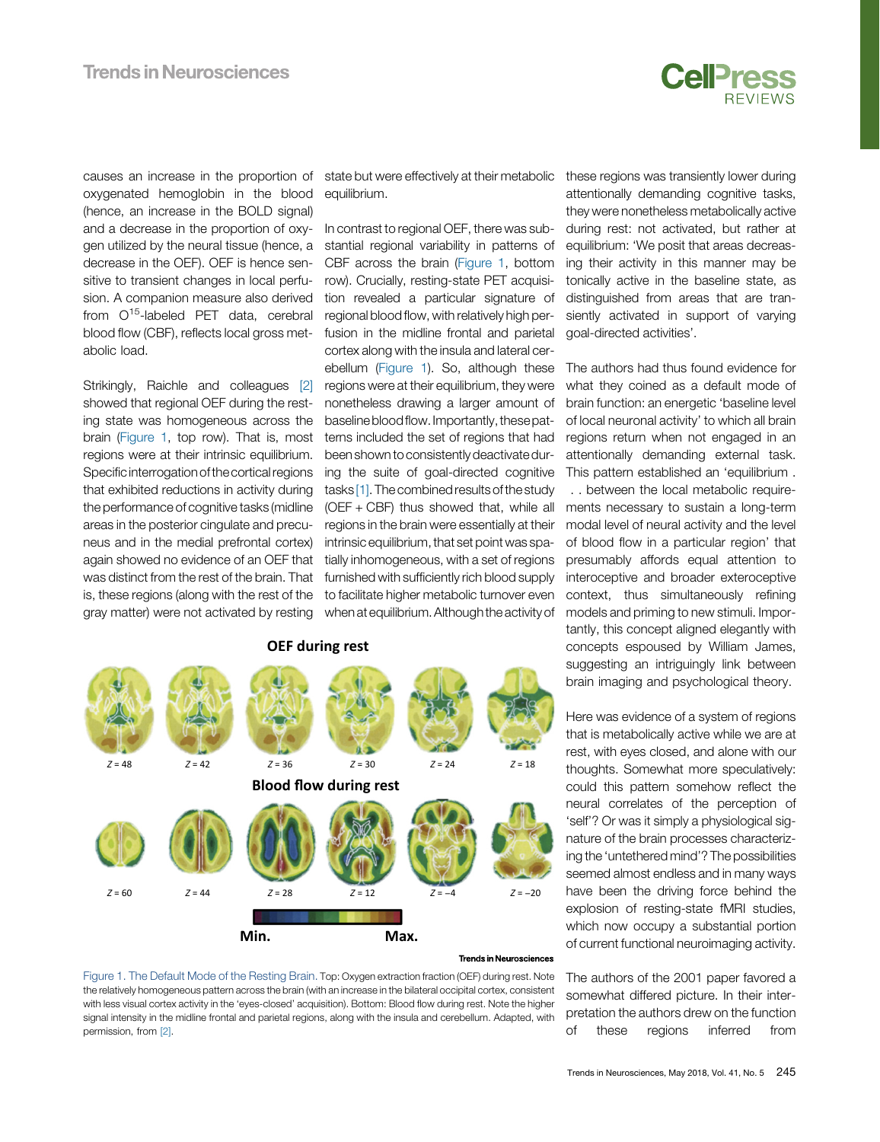

causes an increase in the proportion of oxygenated hemoglobin in the blood (hence, an increase in the BOLD signal) and a decrease in the proportion of oxygen utilized by the neural tissue (hence, a decrease in the OEF). OEF is hence sensitive to transient changes in local perfusion. A companion measure also derived from  $O^{15}$ -labeled PET data, cerebral blood flow (CBF), reflects local gross metabolic load.

Strikingly, Raichle and colleagues [\[2\]](#page-3-0) showed that regional OEF during the resting state was homogeneous across the brain (Figure 1, top row). That is, most regions were at their intrinsic equilibrium. Specific interrogation of the cortical regions that exhibited reductions in activity during the performance of cognitive tasks (midline areas in the posterior cingulate and precuneus and in the medial prefrontal cortex) again showed no evidence of an OEF that was distinct from the rest of the brain. That is, these regions (along with the rest of the gray matter) were not activated by resting equilibrium.

In contrast to regional OEF, there was substantial regional variability in patterns of CBF across the brain (Figure 1, bottom row). Crucially, resting-state PET acquisition revealed a particular signature of regional blood flow, with relatively high perfusion in the midline frontal and parietal cortex along with the insula and lateral cerebellum (Figure 1). So, although these regions were at their equilibrium, they were nonetheless drawing a larger amount of baseline blood flow. Importantly, these patterns included the set of regions that had been shownto consistently deactivate during the suite of goal-directed cognitive tasks [\[1\]](#page-3-0). The combined results of the study (OEF + CBF) thus showed that, while all regions in the brain were essentially at their intrinsic equilibrium, that set point was spatially inhomogeneous, with a set of regions furnished with sufficiently rich blood supply to facilitate higher metabolic turnover even when at equilibrium. Althoughthe activity of



### **Trends in Neurosciences**

Figure 1. The Default Mode of the Resting Brain. Top: Oxygen extraction fraction (OEF) during rest. Note the relatively homogeneous pattern across the brain (with an increase in the bilateral occipital cortex, consistent with less visual cortex activity in the 'eyes-closed' acquisition). Bottom: Blood flow during rest. Note the higher signal intensity in the midline frontal and parietal regions, along with the insula and cerebellum. Adapted, with permission, from [2].

state but were effectively at their metabolic these regions was transiently lower during attentionally demanding cognitive tasks, they were nonetheless metabolically active during rest: not activated, but rather at equilibrium: 'We posit that areas decreasing their activity in this manner may be tonically active in the baseline state, as distinguished from areas that are transiently activated in support of varying goal-directed activities'.

> The authors had thus found evidence for what they coined as a default mode of brain function: an energetic 'baseline level of local neuronal activity' to which all brain regions return when not engaged in an attentionally demanding external task. This pattern established an 'equilibrium . . . between the local metabolic requirements necessary to sustain a long-term modal level of neural activity and the level of blood flow in a particular region' that presumably affords equal attention to interoceptive and broader exteroceptive context, thus simultaneously refining models and priming to new stimuli. Importantly, this concept aligned elegantly with concepts espoused by William James, suggesting an intriguingly link between brain imaging and psychological theory.

> Here was evidence of a system of regions that is metabolically active while we are at rest, with eyes closed, and alone with our thoughts. Somewhat more speculatively: could this pattern somehow reflect the neural correlates of the perception of 'self'? Or was it simply a physiological signature of the brain processes characterizing the 'untethered mind'? The possibilities seemed almost endless and in many ways have been the driving force behind the explosion of resting-state fMRI studies, which now occupy a substantial portion of current functional neuroimaging activity.

> The authors of the 2001 paper favored a somewhat differed picture. In their interpretation the authors drew on the function of these regions inferred from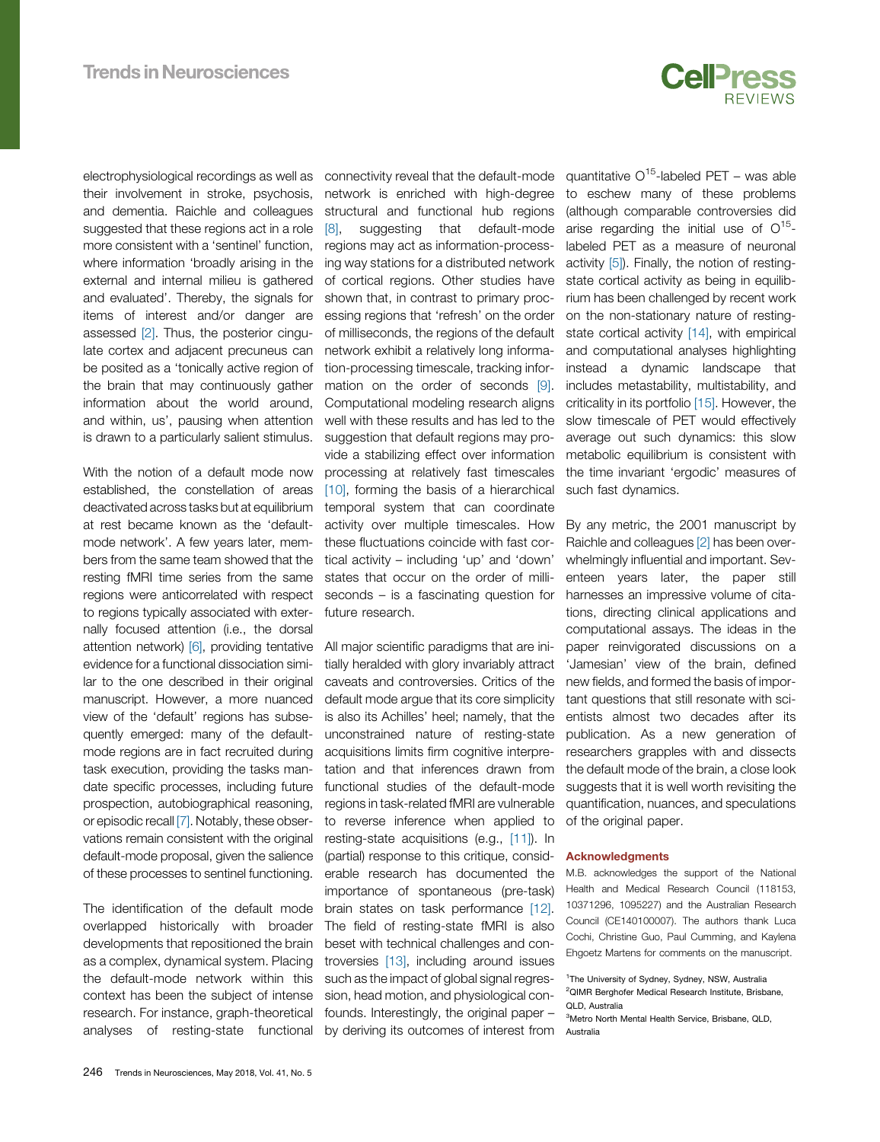

<span id="page-2-0"></span>electrophysiological recordings as well as their involvement in stroke, psychosis, and dementia. Raichle and colleagues suggested that these regions act in a role more consistent with a 'sentinel' function, where information 'broadly arising in the external and internal milieu is gathered and evaluated'. Thereby, the signals for items of interest and/or danger are assessed [\[2\]](#page-3-0). Thus, the posterior cingulate cortex and adjacent precuneus can be posited as a 'tonically active region of the brain that may continuously gather information about the world around, and within, us', pausing when attention is drawn to a particularly salient stimulus.

With the notion of a default mode now established, the constellation of areas deactivated across tasks but at equilibrium at rest became known as the 'defaultmode network'. A few years later, members from the same team showed that the resting fMRI time series from the same regions were anticorrelated with respect to regions typically associated with externally focused attention (i.e., the dorsal attention network) [\[6\],](#page-3-0) providing tentative evidence for a functional dissociation similar to the one described in their original manuscript. However, a more nuanced view of the 'default' regions has subsequently emerged: many of the defaultmode regions are in fact recruited during task execution, providing the tasks mandate specific processes, including future prospection, autobiographical reasoning, or episodic recall [\[7\]](#page-3-0). Notably, these observations remain consistent with the original default-mode proposal, given the salience of these processes to sentinel functioning.

The identification of the default mode overlapped historically with broader developments that repositioned the brain as a complex, dynamical system. Placing the default-mode network within this context has been the subject of intense research. For instance, graph-theoretical analyses of resting-state functional connectivity reveal that the default-mode network is enriched with high-degree structural and functional hub regions [\[8\]](#page-3-0), suggesting that default-mode regions may act as information-processing way stations for a distributed network of cortical regions. Other studies have shown that, in contrast to primary processing regions that 'refresh' on the order of milliseconds, the regions of the default network exhibit a relatively long information-processing timescale, tracking information on the order of seconds [\[9\].](#page-3-0) Computational modeling research aligns well with these results and has led to the suggestion that default regions may provide a stabilizing effect over information processing at relatively fast timescales [\[10\]](#page-3-0), forming the basis of a hierarchical temporal system that can coordinate activity over multiple timescales. How these fluctuations coincide with fast cortical activity – including 'up' and 'down' states that occur on the order of milliseconds – is a fascinating question for future research.

All major scientific paradigms that are initially heralded with glory invariably attract caveats and controversies. Critics of the default mode argue that its core simplicity is also its Achilles' heel; namely, that the unconstrained nature of resting-state acquisitions limits firm cognitive interpretation and that inferences drawn from functional studies of the default-mode regions in task-related fMRI are vulnerable to reverse inference when applied to resting-state acquisitions (e.g., [\[11\]](#page-3-0)). In (partial) response to this critique, considerable research has documented the importance of spontaneous (pre-task) brain states on task performance [\[12\].](#page-3-0) The field of resting-state fMRI is also beset with technical challenges and controversies [\[13\],](#page-3-0) including around issues such as the impact of global signal regression, head motion, and physiological confounds. Interestingly, the original paper – by deriving its outcomes of interest from quantitative  $O^{15}$ -labeled PET – was able to eschew many of these problems (although comparable controversies did arise regarding the initial use of  $O^{15}$ labeled PET as a measure of neuronal activity [\[5\]\)](#page-3-0). Finally, the notion of restingstate cortical activity as being in equilibrium has been challenged by recent work on the non-stationary nature of resting-state cortical activity [\[14\]](#page-3-0), with empirical and computational analyses highlighting instead a dynamic landscape that includes metastability, multistability, and criticality in its portfolio [\[15\]](#page-3-0). However, the slow timescale of PET would effectively average out such dynamics: this slow metabolic equilibrium is consistent with the time invariant 'ergodic' measures of such fast dynamics.

By any metric, the 2001 manuscript by Raichle and colleagues [\[2\]](#page-3-0) has been overwhelmingly influential and important. Seventeen years later, the paper still harnesses an impressive volume of citations, directing clinical applications and computational assays. The ideas in the paper reinvigorated discussions on a 'Jamesian' view of the brain, defined new fields, and formed the basis of important questions that still resonate with scientists almost two decades after its publication. As a new generation of researchers grapples with and dissects the default mode of the brain, a close look suggests that it is well worth revisiting the quantification, nuances, and speculations of the original paper.

## Acknowledgments

M.B. acknowledges the support of the National Health and Medical Research Council (118153, 10371296, 1095227) and the Australian Research Council (CE140100007). The authors thank Luca Cochi, Christine Guo, Paul Cumming, and Kaylena Ehgoetz Martens for comments on the manuscript.

<sup>&</sup>lt;sup>1</sup>The University of Sydney, Sydney, NSW, Australia <sup>2</sup>QIMR Berghofer Medical Research Institute, Brisbane, QLD, Australia

<sup>3</sup> Metro North Mental Health Service, Brisbane, QLD, Australia